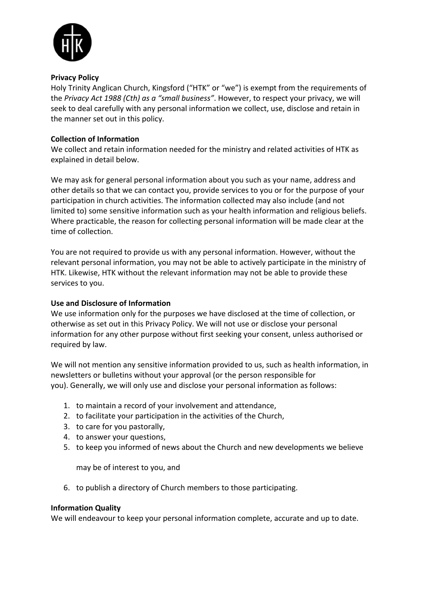

#### **Privacy Policy**

Holy Trinity Anglican Church, Kingsford ("HTK" or "we") is exempt from the requirements of the *Privacy Act 1988 (Cth) as a "small business"*. However, to respect your privacy, we will seek to deal carefully with any personal information we collect, use, disclose and retain in the manner set out in this policy.

# **Collection of Information**

We collect and retain information needed for the ministry and related activities of HTK as explained in detail below.

We may ask for general personal information about you such as your name, address and other details so that we can contact you, provide services to you or for the purpose of your participation in church activities. The information collected may also include (and not limited to) some sensitive information such as your health information and religious beliefs. Where practicable, the reason for collecting personal information will be made clear at the time of collection.

You are not required to provide us with any personal information. However, without the relevant personal information, you may not be able to actively participate in the ministry of HTK. Likewise, HTK without the relevant information may not be able to provide these services to you.

# **Use and Disclosure of Information**

We use information only for the purposes we have disclosed at the time of collection, or otherwise as set out in this Privacy Policy. We will not use or disclose your personal information for any other purpose without first seeking your consent, unless authorised or required by law.

We will not mention any sensitive information provided to us, such as health information, in newsletters or bulletins without your approval (or the person responsible for you). Generally, we will only use and disclose your personal information as follows:

- 1. to maintain a record of your involvement and attendance,
- 2. to facilitate your participation in the activities of the Church,
- 3. to care for you pastorally,
- 4. to answer your questions,
- 5. to keep you informed of news about the Church and new developments we believe

may be of interest to you, and

6. to publish a directory of Church members to those participating.

#### **Information Quality**

We will endeavour to keep your personal information complete, accurate and up to date.